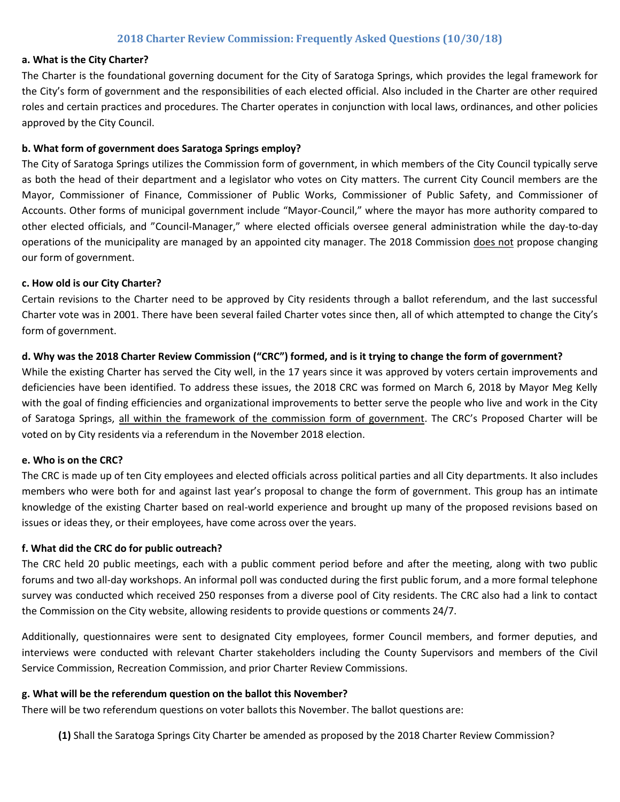## **2018 Charter Review Commission: Frequently Asked Questions (10/30/18)**

#### **a. What is the City Charter?**

The Charter is the foundational governing document for the City of Saratoga Springs, which provides the legal framework for the City's form of government and the responsibilities of each elected official. Also included in the Charter are other required roles and certain practices and procedures. The Charter operates in conjunction with local laws, ordinances, and other policies approved by the City Council.

#### **b. What form of government does Saratoga Springs employ?**

The City of Saratoga Springs utilizes the Commission form of government, in which members of the City Council typically serve as both the head of their department and a legislator who votes on City matters. The current City Council members are the Mayor, Commissioner of Finance, Commissioner of Public Works, Commissioner of Public Safety, and Commissioner of Accounts. Other forms of municipal government include "Mayor-Council," where the mayor has more authority compared to other elected officials, and "Council-Manager," where elected officials oversee general administration while the day-to-day operations of the municipality are managed by an appointed city manager. The 2018 Commission does not propose changing our form of government.

#### **c. How old is our City Charter?**

Certain revisions to the Charter need to be approved by City residents through a ballot referendum, and the last successful Charter vote was in 2001. There have been several failed Charter votes since then, all of which attempted to change the City's form of government.

#### **d. Why was the 2018 Charter Review Commission ("CRC") formed, and is it trying to change the form of government?**

While the existing Charter has served the City well, in the 17 years since it was approved by voters certain improvements and deficiencies have been identified. To address these issues, the 2018 CRC was formed on March 6, 2018 by Mayor Meg Kelly with the goal of finding efficiencies and organizational improvements to better serve the people who live and work in the City of Saratoga Springs, all within the framework of the commission form of government. The CRC's Proposed Charter will be voted on by City residents via a referendum in the November 2018 election.

#### **e. Who is on the CRC?**

The CRC is made up of ten City employees and elected officials across political parties and all City departments. It also includes members who were both for and against last year's proposal to change the form of government. This group has an intimate knowledge of the existing Charter based on real-world experience and brought up many of the proposed revisions based on issues or ideas they, or their employees, have come across over the years.

#### **f. What did the CRC do for public outreach?**

The CRC held 20 public meetings, each with a public comment period before and after the meeting, along with two public forums and two all-day workshops. An informal poll was conducted during the first public forum, and a more formal telephone survey was conducted which received 250 responses from a diverse pool of City residents. The CRC also had a link to contact the Commission on the City website, allowing residents to provide questions or comments 24/7.

Additionally, questionnaires were sent to designated City employees, former Council members, and former deputies, and interviews were conducted with relevant Charter stakeholders including the County Supervisors and members of the Civil Service Commission, Recreation Commission, and prior Charter Review Commissions.

#### **g. What will be the referendum question on the ballot this November?**

There will be two referendum questions on voter ballots this November. The ballot questions are:

**(1)** Shall the Saratoga Springs City Charter be amended as proposed by the 2018 Charter Review Commission?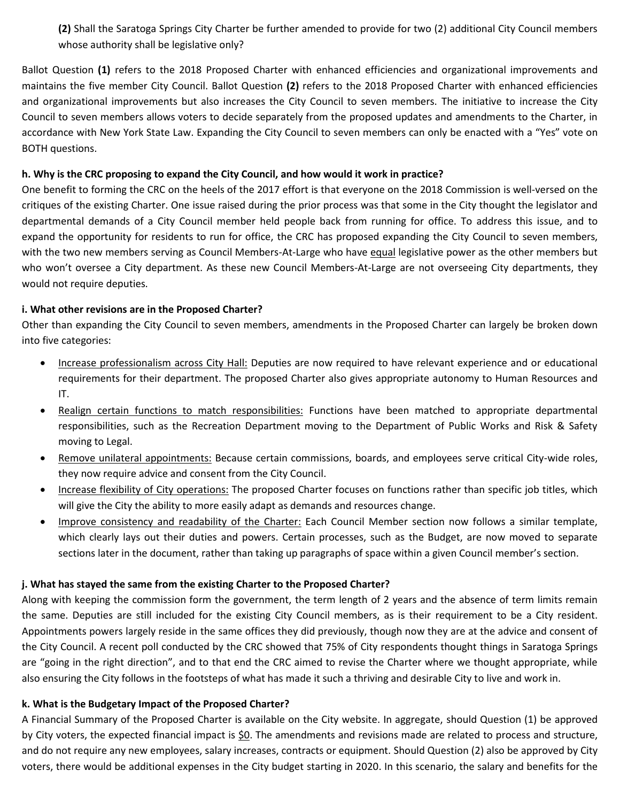**(2)** Shall the Saratoga Springs City Charter be further amended to provide for two (2) additional City Council members whose authority shall be legislative only?

Ballot Question **(1)** refers to the 2018 Proposed Charter with enhanced efficiencies and organizational improvements and maintains the five member City Council. Ballot Question **(2)** refers to the 2018 Proposed Charter with enhanced efficiencies and organizational improvements but also increases the City Council to seven members. The initiative to increase the City Council to seven members allows voters to decide separately from the proposed updates and amendments to the Charter, in accordance with New York State Law. Expanding the City Council to seven members can only be enacted with a "Yes" vote on BOTH questions.

## **h. Why is the CRC proposing to expand the City Council, and how would it work in practice?**

One benefit to forming the CRC on the heels of the 2017 effort is that everyone on the 2018 Commission is well-versed on the critiques of the existing Charter. One issue raised during the prior process was that some in the City thought the legislator and departmental demands of a City Council member held people back from running for office. To address this issue, and to expand the opportunity for residents to run for office, the CRC has proposed expanding the City Council to seven members, with the two new members serving as Council Members-At-Large who have equal legislative power as the other members but who won't oversee a City department. As these new Council Members-At-Large are not overseeing City departments, they would not require deputies.

## **i. What other revisions are in the Proposed Charter?**

Other than expanding the City Council to seven members, amendments in the Proposed Charter can largely be broken down into five categories:

- Increase professionalism across City Hall: Deputies are now required to have relevant experience and or educational requirements for their department. The proposed Charter also gives appropriate autonomy to Human Resources and IT.
- Realign certain functions to match responsibilities: Functions have been matched to appropriate departmental responsibilities, such as the Recreation Department moving to the Department of Public Works and Risk & Safety moving to Legal.
- Remove unilateral appointments: Because certain commissions, boards, and employees serve critical City-wide roles, they now require advice and consent from the City Council.
- Increase flexibility of City operations: The proposed Charter focuses on functions rather than specific job titles, which will give the City the ability to more easily adapt as demands and resources change.
- Improve consistency and readability of the Charter: Each Council Member section now follows a similar template, which clearly lays out their duties and powers. Certain processes, such as the Budget, are now moved to separate sections later in the document, rather than taking up paragraphs of space within a given Council member's section.

### **j. What has stayed the same from the existing Charter to the Proposed Charter?**

Along with keeping the commission form the government, the term length of 2 years and the absence of term limits remain the same. Deputies are still included for the existing City Council members, as is their requirement to be a City resident. Appointments powers largely reside in the same offices they did previously, though now they are at the advice and consent of the City Council. A recent poll conducted by the CRC showed that 75% of City respondents thought things in Saratoga Springs are "going in the right direction", and to that end the CRC aimed to revise the Charter where we thought appropriate, while also ensuring the City follows in the footsteps of what has made it such a thriving and desirable City to live and work in.

### **k. What is the Budgetary Impact of the Proposed Charter?**

A Financial Summary of the Proposed Charter is available on the City website. In aggregate, should Question (1) be approved by City voters, the expected financial impact is  $60$ . The amendments and revisions made are related to process and structure, and do not require any new employees, salary increases, contracts or equipment. Should Question (2) also be approved by City voters, there would be additional expenses in the City budget starting in 2020. In this scenario, the salary and benefits for the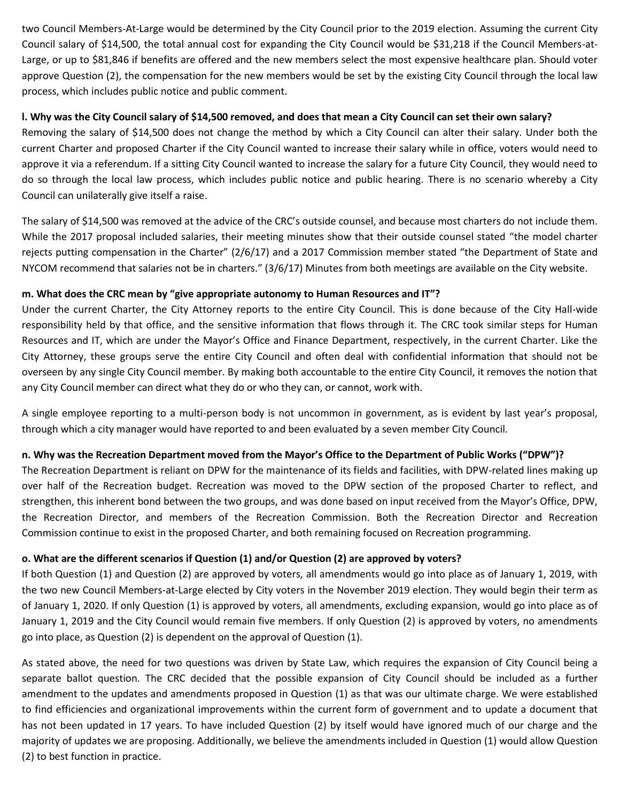two Council Members-At-Large would be determined by the City Council prior to the 2019 election. Assuming the current City Council salary of \$14,500, the total annual cost for expanding the City Council would be \$31,218 if the Council Members-at-Large, or up to \$81,846 if benefits are offered and the new members select the most expensive healthcare plan. Should voter approve Question (2), the compensation for the new members would be set by the existing City Council through the local law process, which includes public notice and public comment.

## **l. Why was the City Council salary of \$14,500 removed, and does that mean a City Council can set their own salary?**

Removing the salary of \$14,500 does not change the method by which a City Council can alter their salary. Under both the current Charter and proposed Charter if the City Council wanted to increase their salary while in office, voters would need to approve it via a referendum. If a sitting City Council wanted to increase the salary for a future City Council, they would need to do so through the local law process, which includes public notice and public hearing. There is no scenario whereby a City Council can unilaterally give itself a raise.

The salary of \$14,500 was removed at the advice of the CRC's outside counsel, and because most charters do not include them. While the 2017 proposal included salaries, their meeting minutes show that their outside counsel stated "the model charter rejects putting compensation in the Charter" (2/6/17) and a 2017 Commission member stated "the Department of State and NYCOM recommend that salaries not be in charters." (3/6/17) Minutes from both meetings are available on the City website.

## **m. What does the CRC mean by "give appropriate autonomy to Human Resources and IT"?**

Under the current Charter, the City Attorney reports to the entire City Council. This is done because of the City Hall-wide responsibility held by that office, and the sensitive information that flows through it. The CRC took similar steps for Human Resources and IT, which are under the Mayor's Office and Finance Department, respectively, in the current Charter. Like the City Attorney, these groups serve the entire City Council and often deal with confidential information that should not be overseen by any single City Council member. By making both accountable to the entire City Council, it removes the notion that any City Council member can direct what they do or who they can, or cannot, work with.

A single employee reporting to a multi-person body is not uncommon in government, as is evident by last year's proposal, through which a city manager would have reported to and been evaluated by a seven member City Council.

## **n. Why was the Recreation Department moved from the Mayor's Office to the Department of Public Works ("DPW")?**

The Recreation Department is reliant on DPW for the maintenance of its fields and facilities, with DPW-related lines making up over half of the Recreation budget. Recreation was moved to the DPW section of the proposed Charter to reflect, and strengthen, this inherent bond between the two groups, and was done based on input received from the Mayor's Office, DPW, the Recreation Director, and members of the Recreation Commission. Both the Recreation Director and Recreation Commission continue to exist in the proposed Charter, and both remaining focused on Recreation programming.

## **o. What are the different scenarios if Question (1) and/or Question (2) are approved by voters?**

If both Question (1) and Question (2) are approved by voters, all amendments would go into place as of January 1, 2019, with the two new Council Members-at-Large elected by City voters in the November 2019 election. They would begin their term as of January 1, 2020. If only Question (1) is approved by voters, all amendments, excluding expansion, would go into place as of January 1, 2019 and the City Council would remain five members. If only Question (2) is approved by voters, no amendments go into place, as Question (2) is dependent on the approval of Question (1).

As stated above, the need for two questions was driven by State Law, which requires the expansion of City Council being a separate ballot question. The CRC decided that the possible expansion of City Council should be included as a further amendment to the updates and amendments proposed in Question (1) as that was our ultimate charge. We were established to find efficiencies and organizational improvements within the current form of government and to update a document that has not been updated in 17 years. To have included Question (2) by itself would have ignored much of our charge and the majority of updates we are proposing. Additionally, we believe the amendments included in Question (1) would allow Question (2) to best function in practice.